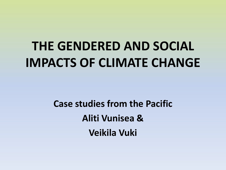# **THE GENDERED AND SOCIAL IMPACTS OF CLIMATE CHANGE**

**Case studies from the Pacific Aliti Vunisea & Veikila Vuki**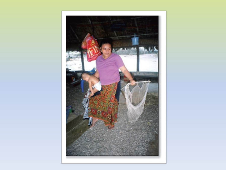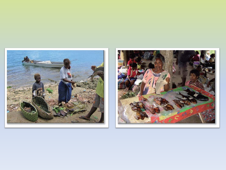

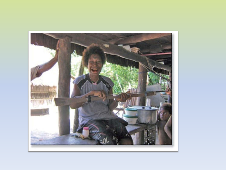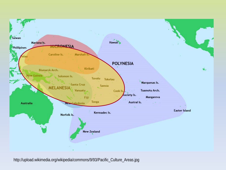

http://upload.wikimedia.org/wikipedia/commons/9/93/Pacific\_Culture\_Areas.jpg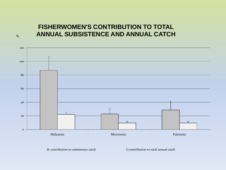#### **FISHERWOMEN'S CONTRIBUTION TO TOTAL ANNUAL SUBSISTENCE AND ANNUAL CATCH**



**%**

 $\Box$  contribution to subsistence catch  $\Box$  contribution to total annual catch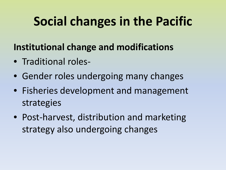## **Social changes in the Pacific**

**Institutional change and modifications**

- Traditional roles-
- Gender roles undergoing many changes
- Fisheries development and management strategies
- Post-harvest, distribution and marketing strategy also undergoing changes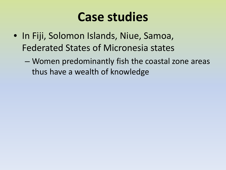#### **Case studies**

- In Fiji, Solomon Islands, Niue, Samoa, Federated States of Micronesia states
	- Women predominantly fish the coastal zone areas thus have a wealth of knowledge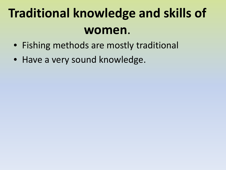# **Traditional knowledge and skills of women**.

- Fishing methods are mostly traditional
- Have a very sound knowledge.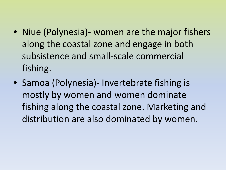- Niue (Polynesia)- women are the major fishers along the coastal zone and engage in both subsistence and small-scale commercial fishing.
- Samoa (Polynesia) Invertebrate fishing is mostly by women and women dominate fishing along the coastal zone. Marketing and distribution are also dominated by women.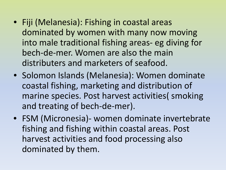- Fiji (Melanesia): Fishing in coastal areas dominated by women with many now moving into male traditional fishing areas- eg diving for bech-de-mer. Women are also the main distributers and marketers of seafood.
- Solomon Islands (Melanesia): Women dominate coastal fishing, marketing and distribution of marine species. Post harvest activities( smoking and treating of bech-de-mer).
- FSM (Micronesia)- women dominate invertebrate fishing and fishing within coastal areas. Post harvest activities and food processing also dominated by them.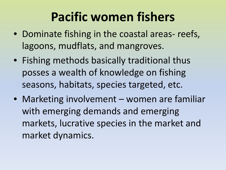### **Pacific women fishers**

- Dominate fishing in the coastal areas- reefs, lagoons, mudflats, and mangroves.
- Fishing methods basically traditional thus posses a wealth of knowledge on fishing seasons, habitats, species targeted, etc.
- Marketing involvement women are familiar with emerging demands and emerging markets, lucrative species in the market and market dynamics.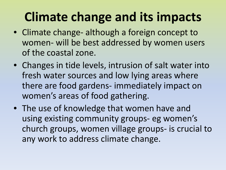# **Climate change and its impacts**

- Climate change- although a foreign concept to women- will be best addressed by women users of the coastal zone.
- Changes in tide levels, intrusion of salt water into fresh water sources and low lying areas where there are food gardens- immediately impact on women's areas of food gathering.
- The use of knowledge that women have and using existing community groups- eg women's church groups, women village groups- is crucial to any work to address climate change.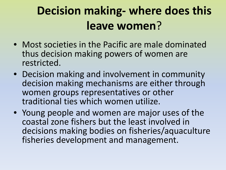### **Decision making- where does this leave women**?

- Most societies in the Pacific are male dominated thus decision making powers of women are restricted.
- Decision making and involvement in community decision making mechanisms are either through women groups representatives or other traditional ties which women utilize.
- Young people and women are major uses of the coastal zone fishers but the least involved in decisions making bodies on fisheries/aquaculture fisheries development and management.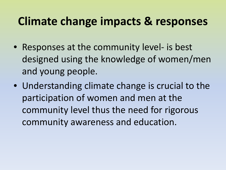#### **Climate change impacts & responses**

- Responses at the community level- is best designed using the knowledge of women/men and young people.
- Understanding climate change is crucial to the participation of women and men at the community level thus the need for rigorous community awareness and education.